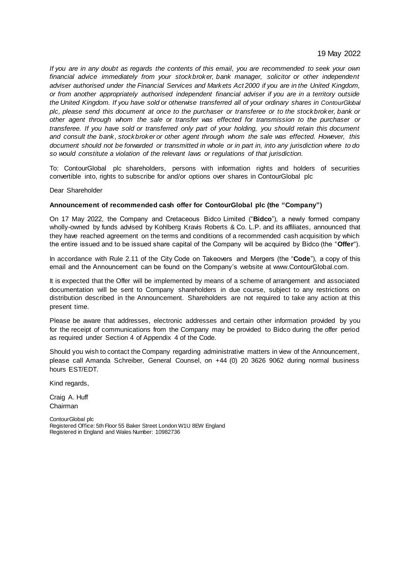*If you are in any doubt as regards the contents of this email, you are recommended to seek your own financial advice immediately from your stockbroker, bank manager, solicitor or other independent adviser authorised under the Financial Services and Markets Act 2000 if you are in the United Kingdom, or from another appropriately authorised independent financial adviser if you are in a territory outside the United Kingdom. If you have sold or otherwise transferred all of your ordinary shares in ContourGlobal plc, please send this document at once to the purchaser or transferee or to the stockbroker, bank or other agent through whom the sale or transfer was effected for transmission to the purchaser or transferee. If you have sold or transferred only part of your holding, you should retain this document and consult the bank, stockbroker or other agent through whom the sale was effected. However, this document should not be forwarded or transmitted in whole or in part in, into any jurisdiction where to do so would constitute a violation of the relevant laws or regulations of that jurisdiction.*

To: ContourGlobal plc shareholders, persons with information rights and holders of securities convertible into, rights to subscribe for and/or options over shares in ContourGlobal plc

Dear Shareholder

### **Announcement of recommended cash offer for ContourGlobal plc (the "Company")**

On 17 May 2022, the Company and Cretaceous Bidco Limited ("**Bidco**"), a newly formed company wholly-owned by funds advised by Kohlberg Kravis Roberts & Co. L.P. and its affiliates, announced that they have reached agreement on the terms and conditions of a recommended cash acquisition by which the entire issued and to be issued share capital of the Company will be acquired by Bidco (the "**Offer**").

In accordance with Rule 2.11 of the City Code on Takeovers and Mergers (the "**Code**"), a copy of this email and the Announcement can be found on the Company's website at www.ContourGlobal.com.

It is expected that the Offer will be implemented by means of a scheme of arrangement and associated documentation will be sent to Company shareholders in due course, subject to any restrictions on distribution described in the Announcement. Shareholders are not required to take any action at this present time.

Please be aware that addresses, electronic addresses and certain other information provided by you for the receipt of communications from the Company may be provided to Bidco during the offer period as required under Section 4 of Appendix 4 of the Code.

Should you wish to contact the Company regarding administrative matters in view of the Announcement, please call Amanda Schreiber, General Counsel, on +44 (0) 20 3626 9062 during normal business hours EST/EDT.

Kind regards,

Craig A. Huff Chairman

ContourGlobal plc Registered Office: 5th Floor 55 Baker Street London W1U 8EW England Registered in England and Wales Number: 10982736